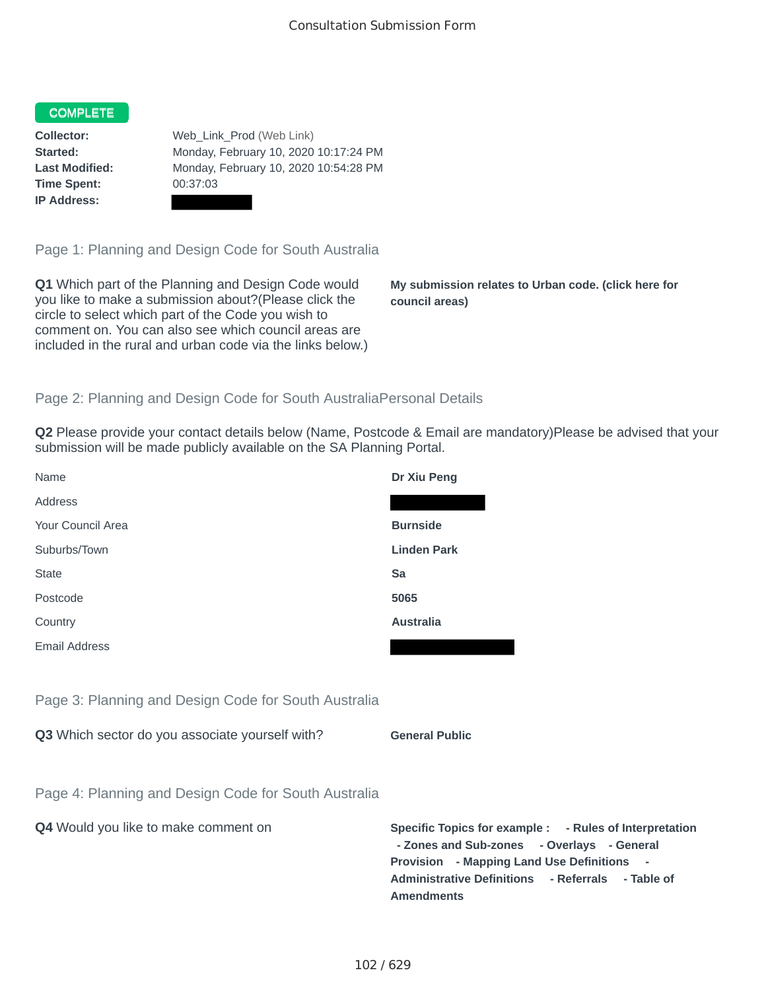## **COMPLETE**

**Time Spent:** 00:37:03 **IP Address:**

**Collector:** Web\_Link\_Prod (Web Link) **Started:** Monday, February 10, 2020 10:17:24 PM **Last Modified:** Monday, February 10, 2020 10:54:28 PM

Page 1: Planning and Design Code for South Australia

**Q1** Which part of the Planning and Design Code would you like to make a submission about?(Please click the circle to select which part of the Code you wish to comment on. You can also see which council areas are included in the rural and urban code via the links below.)

**My submission relates to Urban code. (click here for council areas)**

**- Rules of Interpretation** 

## Page 2: Planning and Design Code for South AustraliaPersonal Details

**Q2** Please provide your contact details below (Name, Postcode & Email are mandatory)Please be advised that your submission will be made publicly available on the SA Planning Portal.

| Name                                                 | Dr Xiu Peng                                                                                                                                                                                          |
|------------------------------------------------------|------------------------------------------------------------------------------------------------------------------------------------------------------------------------------------------------------|
| Address                                              |                                                                                                                                                                                                      |
| Your Council Area                                    | <b>Burnside</b>                                                                                                                                                                                      |
| Suburbs/Town                                         | <b>Linden Park</b>                                                                                                                                                                                   |
| <b>State</b>                                         | Sa                                                                                                                                                                                                   |
| Postcode                                             | 5065                                                                                                                                                                                                 |
| Country                                              | <b>Australia</b>                                                                                                                                                                                     |
| <b>Email Address</b>                                 |                                                                                                                                                                                                      |
|                                                      |                                                                                                                                                                                                      |
| Page 3: Planning and Design Code for South Australia |                                                                                                                                                                                                      |
| Q3 Which sector do you associate yourself with?      | <b>General Public</b>                                                                                                                                                                                |
|                                                      |                                                                                                                                                                                                      |
| Page 4: Planning and Design Code for South Australia |                                                                                                                                                                                                      |
| Q4 Would you like to make comment on                 | Specific Topics for example : - Rules of Interpreta<br>- Zones and Sub-zones - Overlays - General<br>Provision - Mapping Land Use Definitions -<br>Administrative Definitions - Referrals - Table of |

**Amendments**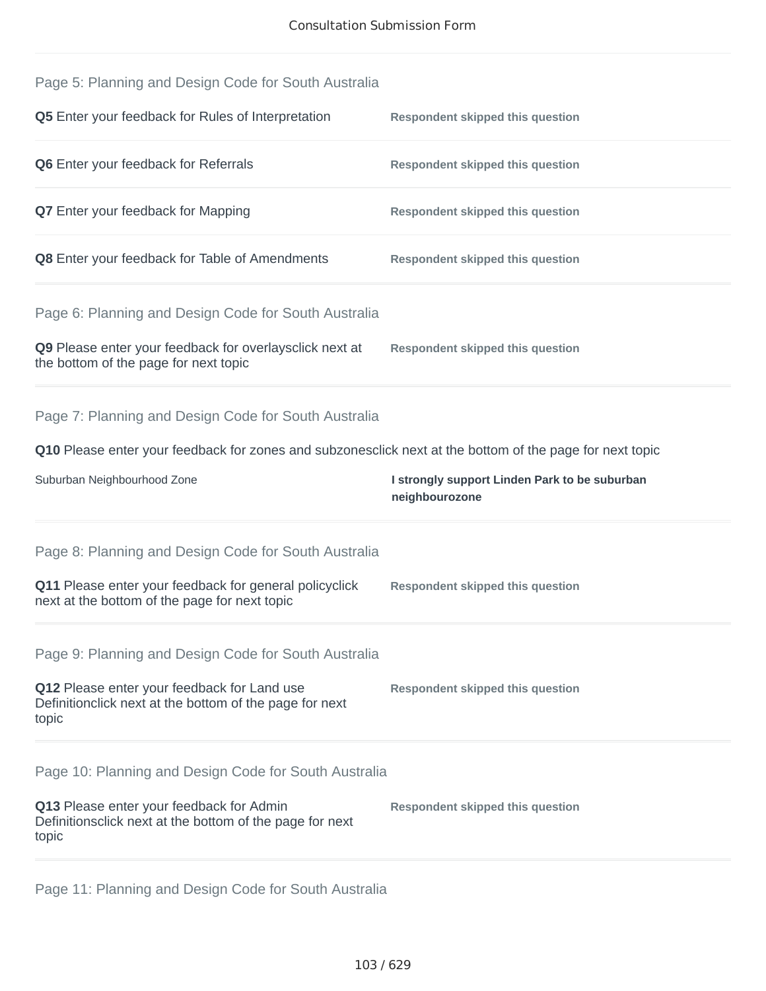| Page 5: Planning and Design Code for South Australia                                                            |                                                                 |
|-----------------------------------------------------------------------------------------------------------------|-----------------------------------------------------------------|
| Q5 Enter your feedback for Rules of Interpretation                                                              | <b>Respondent skipped this question</b>                         |
| <b>Q6</b> Enter your feedback for Referrals                                                                     | <b>Respondent skipped this question</b>                         |
| <b>Q7</b> Enter your feedback for Mapping                                                                       | <b>Respondent skipped this question</b>                         |
| Q8 Enter your feedback for Table of Amendments                                                                  | <b>Respondent skipped this question</b>                         |
| Page 6: Planning and Design Code for South Australia                                                            |                                                                 |
| Q9 Please enter your feedback for overlaysclick next at<br>the bottom of the page for next topic                | <b>Respondent skipped this question</b>                         |
| Page 7: Planning and Design Code for South Australia                                                            |                                                                 |
| Q10 Please enter your feedback for zones and subzonesclick next at the bottom of the page for next topic        |                                                                 |
|                                                                                                                 |                                                                 |
| Suburban Neighbourhood Zone                                                                                     | I strongly support Linden Park to be suburban<br>neighbourozone |
| Page 8: Planning and Design Code for South Australia                                                            |                                                                 |
| Q11 Please enter your feedback for general policyclick<br>next at the bottom of the page for next topic         | <b>Respondent skipped this question</b>                         |
| Page 9: Planning and Design Code for South Australia                                                            |                                                                 |
| Q12 Please enter your feedback for Land use<br>Definitionclick next at the bottom of the page for next<br>topic | <b>Respondent skipped this question</b>                         |
| Page 10: Planning and Design Code for South Australia                                                           |                                                                 |
| Q13 Please enter your feedback for Admin<br>Definitionsclick next at the bottom of the page for next<br>topic   | <b>Respondent skipped this question</b>                         |

Page 11: Planning and Design Code for South Australia